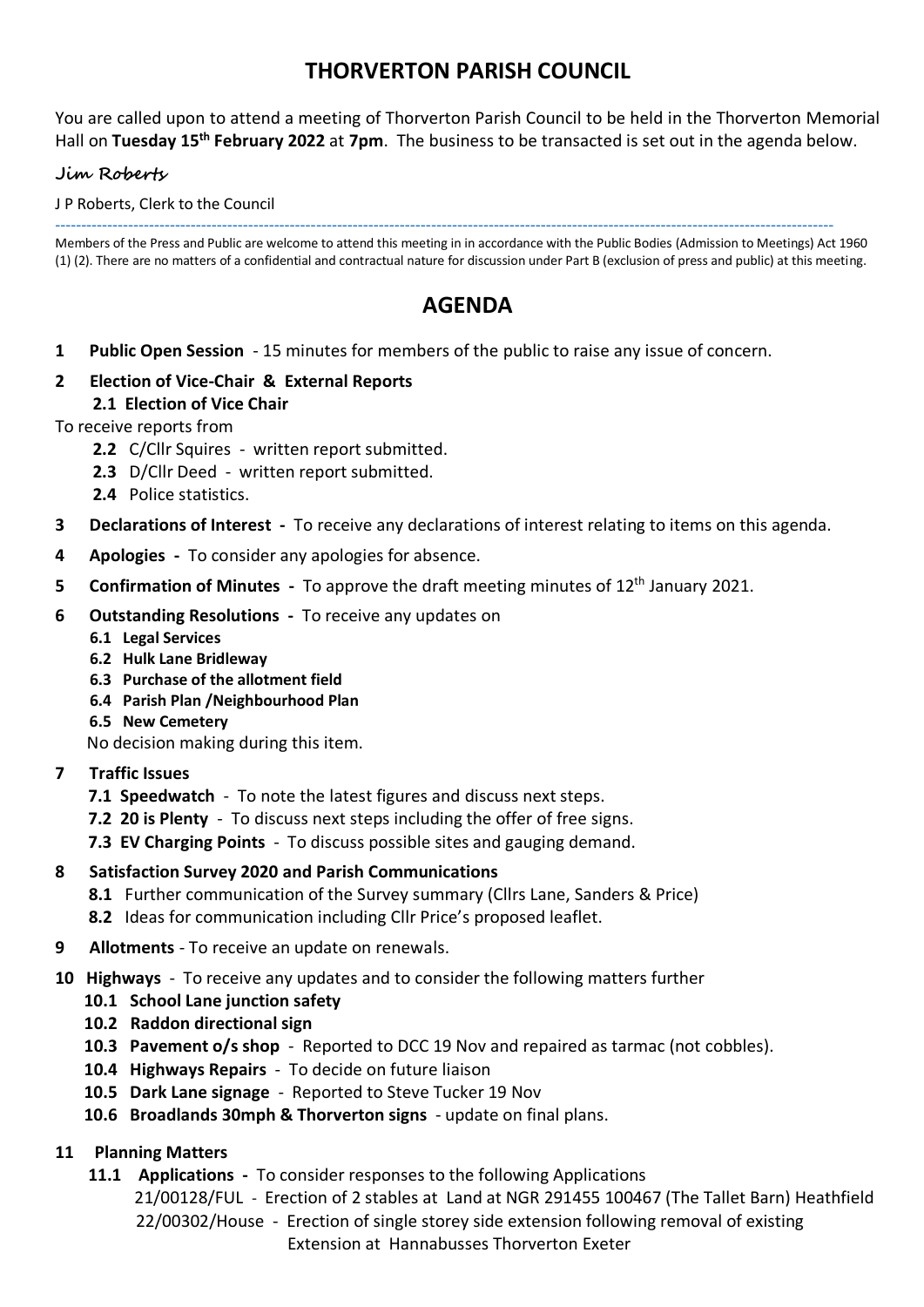## **THORVERTON PARISH COUNCIL**

You are called upon to attend a meeting of Thorverton Parish Council to be held in the Thorverton Memorial Hall on **Tuesday 15th February 2022** at **7pm**. The business to be transacted is set out in the agenda below.

#### **Jim Roberts**

J P Roberts, Clerk to the Council

----------------------------------------------------------------------------------------------------------------------------------------------------- Members of the Press and Public are welcome to attend this meeting in in accordance with the Public Bodies (Admission to Meetings) Act 1960

(1) (2). There are no matters of a confidential and contractual nature for discussion under Part B (exclusion of press and public) at this meeting.

# **AGENDA**

- **1 Public Open Session** 15 minutes for members of the public to raise any issue of concern.
- **2 Election of Vice-Chair & External Reports 2.1 Election of Vice Chair**

#### To receive reports from

- **2.2** C/Cllr Squires written report submitted.
- **2.3** D/Cllr Deed written report submitted.
- **2.4** Police statistics.
- **3 Declarations of Interest** To receive any declarations of interest relating to items on this agenda.
- **4 Apologies** To consider any apologies for absence.
- **5** Confirmation of Minutes To approve the draft meeting minutes of 12<sup>th</sup> January 2021.
- **6 Outstanding Resolutions** To receive any updates on
	- **6.1 Legal Services**
	- **6.2 Hulk Lane Bridleway**
	- **6.3 Purchase of the allotment field**
	- **6.4 Parish Plan /Neighbourhood Plan**
	- **6.5 New Cemetery**

No decision making during this item.

- **7 Traffic Issues**
	- **7.1 Speedwatch**  To note the latest figures and discuss next steps.
	- **7.2 20 is Plenty**  To discuss next steps including the offer of free signs.
	- **7.3 EV Charging Points** To discuss possible sites and gauging demand.

#### **8 Satisfaction Survey 2020 and Parish Communications**

- **8.1** Further communication of the Survey summary (Cllrs Lane, Sanders & Price)
- **8.2** Ideas for communication including Cllr Price's proposed leaflet.
- **9 Allotments** To receive an update on renewals.
- **10 Highways**  To receive any updates and to consider the following matters further
	- **10.1 School Lane junction safety**
	- **10.2 Raddon directional sign**
	- **10.3 Pavement o/s shop**  Reported to DCC 19 Nov and repaired as tarmac (not cobbles).
	- **10.4 Highways Repairs** To decide on future liaison
	- **10.5 Dark Lane signage** Reported to Steve Tucker 19 Nov
	- **10.6 Broadlands 30mph & Thorverton signs**  update on final plans.

### **11 Planning Matters**

- **11.1 Applications** To consider responses to the following Applications
	- 21/00128/FUL Erection of 2 stables at Land at NGR 291455 100467 (The Tallet Barn) Heathfield 22/00302/House- Erection of single storey side extension following removal of existing Extension at Hannabusses Thorverton Exeter